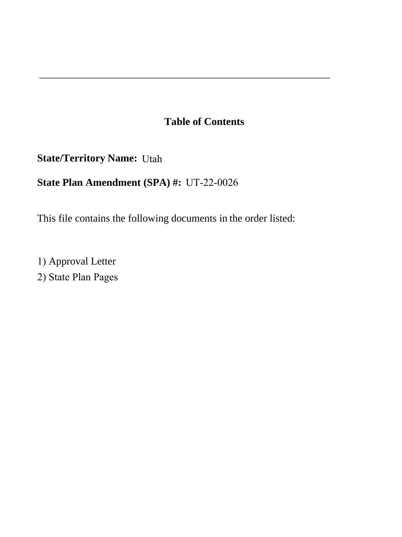# **Table of Contents**

**\_\_\_\_\_\_\_\_\_\_\_\_\_\_\_\_\_\_\_\_\_\_\_\_\_\_\_\_\_\_\_\_\_\_\_\_\_\_\_\_\_\_\_\_\_\_\_\_\_\_\_\_\_\_\_\_\_\_\_\_\_\_\_\_\_\_\_\_\_\_\_\_\_\_\_\_\_** 

**State/Territory Name:**  Utah

# **State Plan Amendment (SPA) #:** UT-22-0026

This file contains the following documents in the order listed:

1) Approval Letter 2) State Plan Pages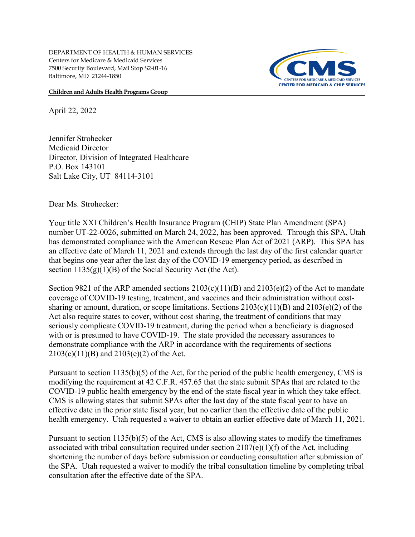**Children and Adults Health Programs Group**



April 22, 2022

Jennifer Strohecker Medicaid Director Director, Division of Integrated Healthcare P.O. Box 143101 Salt Lake City, UT 84114-3101

Dear Ms. Strohecker:

Your title XXI Children's Health Insurance Program (CHIP) State Plan Amendment (SPA) number UT-22-0026, submitted on March 24, 2022, has been approved. Through this SPA, Utah has demonstrated compliance with the American Rescue Plan Act of 2021 (ARP). This SPA has an effective date of March 11, 2021 and extends through the last day of the first calendar quarter that begins one year after the last day of the COVID-19 emergency period, as described in section  $1135(g)(1)(B)$  of the Social Security Act (the Act).

Section 9821 of the ARP amended sections  $2103(c)(11)(B)$  and  $2103(e)(2)$  of the Act to mandate coverage of COVID-19 testing, treatment, and vaccines and their administration without costsharing or amount, duration, or scope limitations. Sections  $2103(c)(11)(B)$  and  $2103(e)(2)$  of the Act also require states to cover, without cost sharing, the treatment of conditions that may seriously complicate COVID-19 treatment, during the period when a beneficiary is diagnosed with or is presumed to have COVID-19. The state provided the necessary assurances to demonstrate compliance with the ARP in accordance with the requirements of sections 2103(c)(11)(B) and 2103(e)(2) of the Act.

Pursuant to section 1135(b)(5) of the Act, for the period of the public health emergency, CMS is modifying the requirement at 42 C.F.R. 457.65 that the state submit SPAs that are related to the COVID-19 public health emergency by the end of the state fiscal year in which they take effect. CMS is allowing states that submit SPAs after the last day of the state fiscal year to have an effective date in the prior state fiscal year, but no earlier than the effective date of the public health emergency. Utah requested a waiver to obtain an earlier effective date of March 11, 2021.

Pursuant to section  $1135(b)(5)$  of the Act, CMS is also allowing states to modify the timeframes associated with tribal consultation required under section 2107(e)(1)(f) of the Act, including shortening the number of days before submission or conducting consultation after submission of the SPA. Utah requested a waiver to modify the tribal consultation timeline by completing tribal consultation after the effective date of the SPA.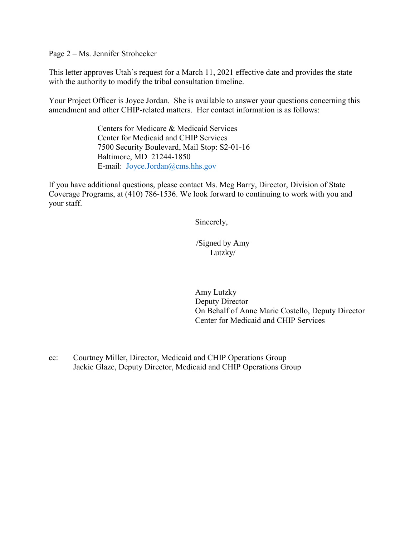Page 2 – Ms. Jennifer Strohecker

This letter approves Utah's request for a March 11, 2021 effective date and provides the state with the authority to modify the tribal consultation timeline.

Your Project Officer is Joyce Jordan. She is available to answer your questions concerning this amendment and other CHIP-related matters. Her contact information is as follows:

> Centers for Medicare & Medicaid Services Center for Medicaid and CHIP Services 7500 Security Boulevard, Mail Stop: S2-01-16 Baltimore, MD 21244-1850 E-mail: [Joyce.Jordan@cms.hhs.gov](mailto:Joyce.Jordan@cms.hhs.gov)

If you have additional questions, please contact Ms. Meg Barry, Director, Division of State Coverage Programs, at (410) 786-1536. We look forward to continuing to work with you and your staff.

Sincerely,

/Signed by Amy Lutzky/

Amy Lutzky Deputy Director On Behalf of Anne Marie Costello, Deputy Director Center for Medicaid and CHIP Services

cc: Courtney Miller, Director, Medicaid and CHIP Operations Group Jackie Glaze, Deputy Director, Medicaid and CHIP Operations Group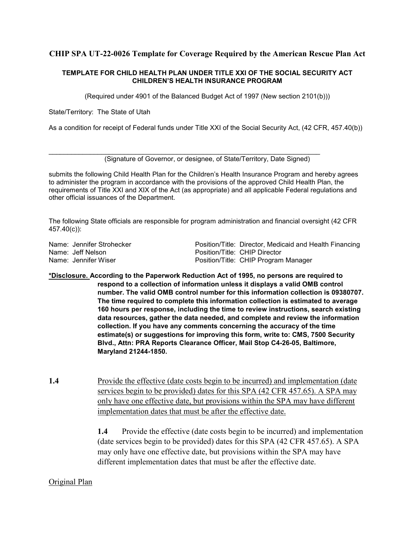### **CHIP SPA UT-22-0026 Template for Coverage Required by the American Rescue Plan Act**

#### **TEMPLATE FOR CHILD HEALTH PLAN UNDER TITLE XXI OF THE SOCIAL SECURITY ACT CHILDREN'S HEALTH INSURANCE PROGRAM**

(Required under 4901 of the Balanced Budget Act of 1997 (New section 2101(b)))

State/Territory: The State of Utah

As a condition for receipt of Federal funds under Title XXI of the Social Security Act, (42 CFR, 457.40(b))

(Signature of Governor, or designee, of State/Territory, Date Signed)

\_\_\_\_\_\_\_\_\_\_\_\_\_\_\_\_\_\_\_\_\_\_\_\_\_\_\_\_\_\_\_\_\_\_\_\_\_\_\_\_\_\_\_\_\_\_\_\_\_\_\_\_\_\_\_\_\_\_\_\_\_\_\_\_\_\_\_\_\_\_\_\_

submits the following Child Health Plan for the Children's Health Insurance Program and hereby agrees to administer the program in accordance with the provisions of the approved Child Health Plan, the requirements of Title XXI and XIX of the Act (as appropriate) and all applicable Federal regulations and other official issuances of the Department.

The following State officials are responsible for program administration and financial oversight (42 CFR 457.40(c)):

Name: Jennifer Strohecker **Position/Title: Director, Medicaid and Health Financing** Name: Jeff Nelson Position/Title: CHIP Director<br>Name: Jennifer Wiser Position/Title: CHIP Program Position/Title: CHIP Program Manager

- **\*Disclosure. According to the Paperwork Reduction Act of 1995, no persons are required to respond to a collection of information unless it displays a valid OMB control number. The valid OMB control number for this information collection is 09380707. The time required to complete this information collection is estimated to average 160 hours per response, including the time to review instructions, search existing data resources, gather the data needed, and complete and review the information collection. If you have any comments concerning the accuracy of the time estimate(s) or suggestions for improving this form, write to: CMS, 7500 Security Blvd., Attn: PRA Reports Clearance Officer, Mail Stop C4-26-05, Baltimore, Maryland 21244-1850.**
- **1.4** Provide the effective (date costs begin to be incurred) and implementation (date services begin to be provided) dates for this SPA (42 CFR 457.65). A SPA may only have one effective date, but provisions within the SPA may have different implementation dates that must be after the effective date.

**1.4** Provide the effective (date costs begin to be incurred) and implementation (date services begin to be provided) dates for this SPA (42 CFR 457.65). A SPA may only have one effective date, but provisions within the SPA may have different implementation dates that must be after the effective date.

### Original Plan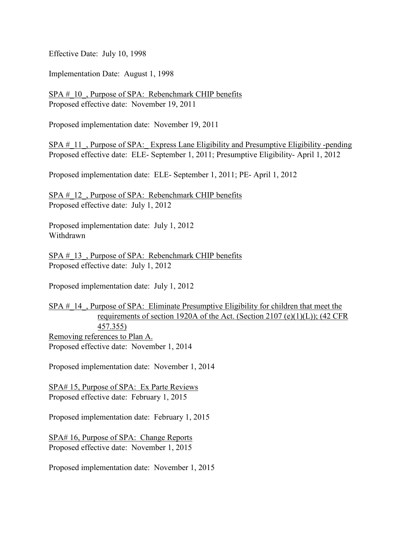Effective Date: July 10, 1998

Implementation Date: August 1, 1998

SPA # 10, Purpose of SPA: Rebenchmark CHIP benefits Proposed effective date: November 19, 2011

Proposed implementation date: November 19, 2011

SPA # 11, Purpose of SPA: Express Lane Eligibility and Presumptive Eligibility -pending Proposed effective date: ELE- September 1, 2011; Presumptive Eligibility- April 1, 2012

Proposed implementation date: ELE- September 1, 2011; PE- April 1, 2012

SPA # 12, Purpose of SPA: Rebenchmark CHIP benefits Proposed effective date: July 1, 2012

Proposed implementation date: July 1, 2012 Withdrawn

SPA # 13, Purpose of SPA: Rebenchmark CHIP benefits Proposed effective date: July 1, 2012

Proposed implementation date: July 1, 2012

SPA # 14, Purpose of SPA: Eliminate Presumptive Eligibility for children that meet the requirements of section 1920A of the Act. (Section 2107 (e)(1)(L)); (42 CFR 457.355) Removing references to Plan A. Proposed effective date: November 1, 2014

Proposed implementation date: November 1, 2014

SPA# 15, Purpose of SPA: Ex Parte Reviews Proposed effective date: February 1, 2015

Proposed implementation date: February 1, 2015

SPA# 16, Purpose of SPA: Change Reports Proposed effective date: November 1, 2015

Proposed implementation date: November 1, 2015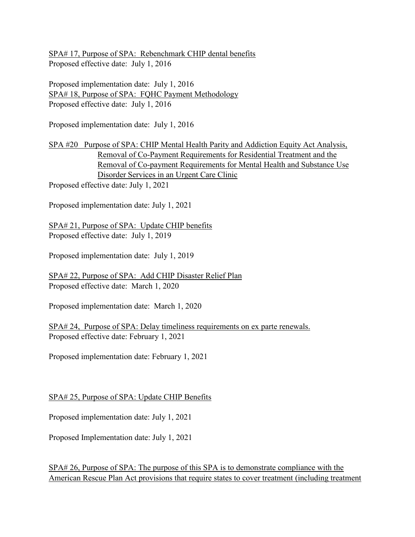SPA# 17, Purpose of SPA: Rebenchmark CHIP dental benefits Proposed effective date: July 1, 2016

Proposed implementation date: July 1, 2016 SPA# 18, Purpose of SPA: FQHC Payment Methodology Proposed effective date: July 1, 2016

Proposed implementation date: July 1, 2016

SPA #20 Purpose of SPA: CHIP Mental Health Parity and Addiction Equity Act Analysis, Removal of Co-Payment Requirements for Residential Treatment and the Removal of Co-payment Requirements for Mental Health and Substance Use Disorder Services in an Urgent Care Clinic

Proposed effective date: July 1, 2021

Proposed implementation date: July 1, 2021

SPA# 21, Purpose of SPA: Update CHIP benefits Proposed effective date: July 1, 2019

Proposed implementation date: July 1, 2019

SPA# 22, Purpose of SPA: Add CHIP Disaster Relief Plan Proposed effective date: March 1, 2020

Proposed implementation date: March 1, 2020

SPA# 24, Purpose of SPA: Delay timeliness requirements on ex parte renewals. Proposed effective date: February 1, 2021

Proposed implementation date: February 1, 2021

# SPA# 25, Purpose of SPA: Update CHIP Benefits

Proposed implementation date: July 1, 2021

Proposed Implementation date: July 1, 2021

SPA# 26, Purpose of SPA: The purpose of this SPA is to demonstrate compliance with the American Rescue Plan Act provisions that require states to cover treatment (including treatment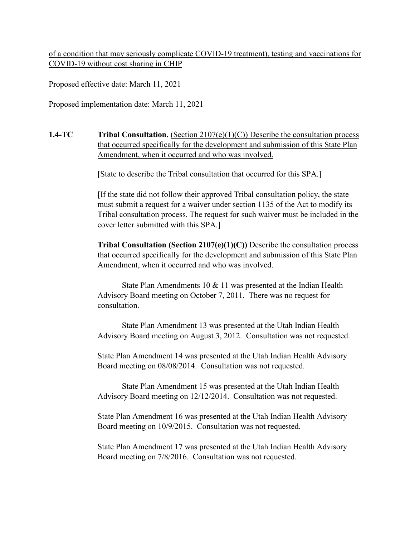of a condition that may seriously complicate COVID-19 treatment), testing and vaccinations for COVID-19 without cost sharing in CHIP

Proposed effective date: March 11, 2021

Proposed implementation date: March 11, 2021

**1.4-TC Tribal Consultation.** (Section 2107(e)(1)(C)) Describe the consultation process that occurred specifically for the development and submission of this State Plan Amendment, when it occurred and who was involved.

[State to describe the Tribal consultation that occurred for this SPA.]

[If the state did not follow their approved Tribal consultation policy, the state must submit a request for a waiver under section 1135 of the Act to modify its Tribal consultation process. The request for such waiver must be included in the cover letter submitted with this SPA.]

**Tribal Consultation (Section 2107(e)(1)(C))** Describe the consultation process that occurred specifically for the development and submission of this State Plan Amendment, when it occurred and who was involved.

State Plan Amendments 10 & 11 was presented at the Indian Health Advisory Board meeting on October 7, 2011. There was no request for consultation.

State Plan Amendment 13 was presented at the Utah Indian Health Advisory Board meeting on August 3, 2012. Consultation was not requested.

State Plan Amendment 14 was presented at the Utah Indian Health Advisory Board meeting on 08/08/2014. Consultation was not requested.

State Plan Amendment 15 was presented at the Utah Indian Health Advisory Board meeting on 12/12/2014. Consultation was not requested.

State Plan Amendment 16 was presented at the Utah Indian Health Advisory Board meeting on 10/9/2015. Consultation was not requested.

State Plan Amendment 17 was presented at the Utah Indian Health Advisory Board meeting on 7/8/2016. Consultation was not requested.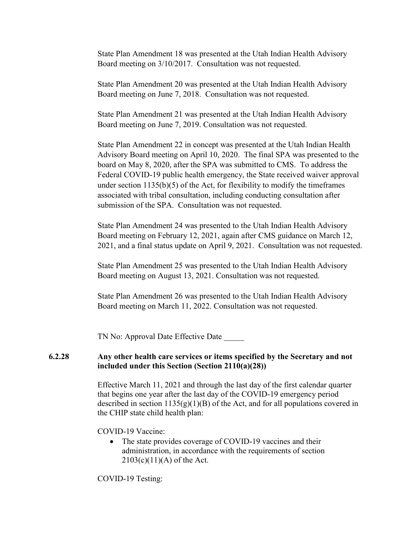State Plan Amendment 18 was presented at the Utah Indian Health Advisory Board meeting on 3/10/2017. Consultation was not requested.

State Plan Amendment 20 was presented at the Utah Indian Health Advisory Board meeting on June 7, 2018. Consultation was not requested.

State Plan Amendment 21 was presented at the Utah Indian Health Advisory Board meeting on June 7, 2019. Consultation was not requested.

State Plan Amendment 22 in concept was presented at the Utah Indian Health Advisory Board meeting on April 10, 2020. The final SPA was presented to the board on May 8, 2020, after the SPA was submitted to CMS. To address the Federal COVID-19 public health emergency, the State received waiver approval under section  $1135(b)(5)$  of the Act, for flexibility to modify the timeframes associated with tribal consultation, including conducting consultation after submission of the SPA. Consultation was not requested.

State Plan Amendment 24 was presented to the Utah Indian Health Advisory Board meeting on February 12, 2021, again after CMS guidance on March 12, 2021, and a final status update on April 9, 2021. Consultation was not requested.

State Plan Amendment 25 was presented to the Utah Indian Health Advisory Board meeting on August 13, 2021. Consultation was not requested.

State Plan Amendment 26 was presented to the Utah Indian Health Advisory Board meeting on March 11, 2022. Consultation was not requested.

TN No: Approval Date Effective Date

#### **6.2.28 Any other health care services or items specified by the Secretary and not included under this Section (Section 2110(a)(28))**

Effective March 11, 2021 and through the last day of the first calendar quarter that begins one year after the last day of the COVID-19 emergency period described in section  $1135(g)(1)(B)$  of the Act, and for all populations covered in the CHIP state child health plan:

COVID-19 Vaccine:

• The state provides coverage of COVID-19 vaccines and their administration, in accordance with the requirements of section  $2103(c)(11)(A)$  of the Act.

COVID-19 Testing: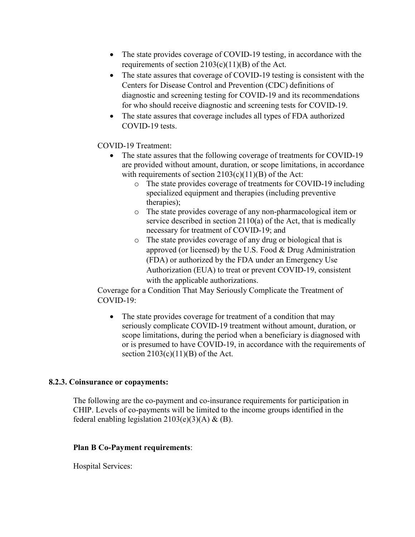- The state provides coverage of COVID-19 testing, in accordance with the requirements of section  $2103(c)(11)(B)$  of the Act.
- The state assures that coverage of COVID-19 testing is consistent with the Centers for Disease Control and Prevention (CDC) definitions of diagnostic and screening testing for COVID-19 and its recommendations for who should receive diagnostic and screening tests for COVID-19.
- The state assures that coverage includes all types of FDA authorized COVID-19 tests.

### COVID-19 Treatment:

- The state assures that the following coverage of treatments for COVID-19 are provided without amount, duration, or scope limitations, in accordance with requirements of section  $2103(c)(11)(B)$  of the Act:
	- o The state provides coverage of treatments for COVID-19 including specialized equipment and therapies (including preventive therapies);
	- o The state provides coverage of any non-pharmacological item or service described in section 2110(a) of the Act, that is medically necessary for treatment of COVID-19; and
	- o The state provides coverage of any drug or biological that is approved (or licensed) by the U.S. Food & Drug Administration (FDA) or authorized by the FDA under an Emergency Use Authorization (EUA) to treat or prevent COVID-19, consistent with the applicable authorizations.

Coverage for a Condition That May Seriously Complicate the Treatment of COVID-19:

• The state provides coverage for treatment of a condition that may seriously complicate COVID-19 treatment without amount, duration, or scope limitations, during the period when a beneficiary is diagnosed with or is presumed to have COVID-19, in accordance with the requirements of section  $2103(c)(11)(B)$  of the Act.

### **8.2.3. Coinsurance or copayments:**

The following are the co-payment and co-insurance requirements for participation in CHIP. Levels of co-payments will be limited to the income groups identified in the federal enabling legislation  $2103(e)(3)(A) \& (B)$ .

### **Plan B Co-Payment requirements**:

Hospital Services: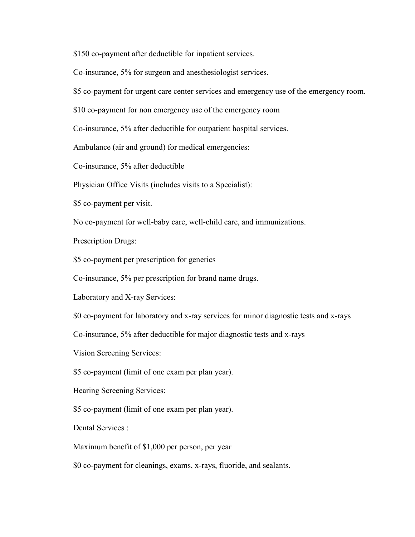\$150 co-payment after deductible for inpatient services.

Co-insurance, 5% for surgeon and anesthesiologist services.

\$5 co-payment for urgent care center services and emergency use of the emergency room.

\$10 co-payment for non emergency use of the emergency room

Co-insurance, 5% after deductible for outpatient hospital services.

Ambulance (air and ground) for medical emergencies:

Co-insurance, 5% after deductible

Physician Office Visits (includes visits to a Specialist):

\$5 co-payment per visit.

No co-payment for well-baby care, well-child care, and immunizations.

Prescription Drugs:

\$5 co-payment per prescription for generics

Co-insurance, 5% per prescription for brand name drugs.

Laboratory and X-ray Services:

\$0 co-payment for laboratory and x-ray services for minor diagnostic tests and x-rays

Co-insurance, 5% after deductible for major diagnostic tests and x-rays

Vision Screening Services:

\$5 co-payment (limit of one exam per plan year).

Hearing Screening Services:

\$5 co-payment (limit of one exam per plan year).

Dental Services :

Maximum benefit of \$1,000 per person, per year

\$0 co-payment for cleanings, exams, x-rays, fluoride, and sealants.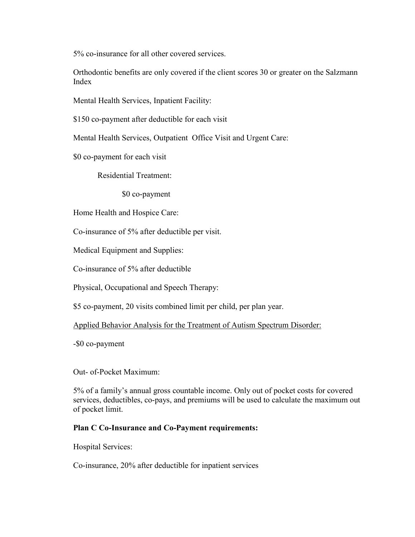5% co-insurance for all other covered services.

Orthodontic benefits are only covered if the client scores 30 or greater on the Salzmann Index

Mental Health Services, Inpatient Facility:

\$150 co-payment after deductible for each visit

Mental Health Services, Outpatient Office Visit and Urgent Care:

\$0 co-payment for each visit

Residential Treatment:

\$0 co-payment

Home Health and Hospice Care:

Co-insurance of 5% after deductible per visit.

Medical Equipment and Supplies:

Co-insurance of 5% after deductible

Physical, Occupational and Speech Therapy:

\$5 co-payment, 20 visits combined limit per child, per plan year.

Applied Behavior Analysis for the Treatment of Autism Spectrum Disorder:

-\$0 co-payment

Out- of-Pocket Maximum:

5% of a family's annual gross countable income. Only out of pocket costs for covered services, deductibles, co-pays, and premiums will be used to calculate the maximum out of pocket limit.

### **Plan C Co-Insurance and Co-Payment requirements:**

Hospital Services:

Co-insurance, 20% after deductible for inpatient services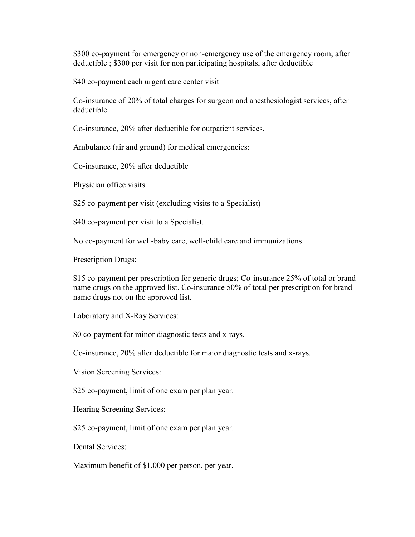\$300 co-payment for emergency or non-emergency use of the emergency room, after deductible ; \$300 per visit for non participating hospitals, after deductible

\$40 co-payment each urgent care center visit

Co-insurance of 20% of total charges for surgeon and anesthesiologist services, after deductible.

Co-insurance, 20% after deductible for outpatient services.

Ambulance (air and ground) for medical emergencies:

Co-insurance, 20% after deductible

Physician office visits:

\$25 co-payment per visit (excluding visits to a Specialist)

\$40 co-payment per visit to a Specialist.

No co-payment for well-baby care, well-child care and immunizations.

Prescription Drugs:

\$15 co-payment per prescription for generic drugs; Co-insurance 25% of total or brand name drugs on the approved list. Co-insurance 50% of total per prescription for brand name drugs not on the approved list.

Laboratory and X-Ray Services:

\$0 co-payment for minor diagnostic tests and x-rays.

Co-insurance, 20% after deductible for major diagnostic tests and x-rays.

Vision Screening Services:

\$25 co-payment, limit of one exam per plan year.

Hearing Screening Services:

\$25 co-payment, limit of one exam per plan year.

Dental Services:

Maximum benefit of \$1,000 per person, per year.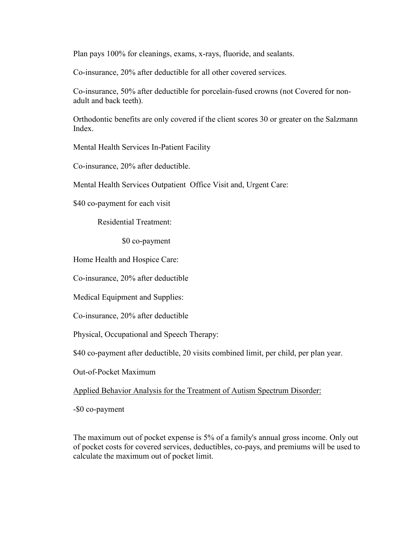Plan pays 100% for cleanings, exams, x-rays, fluoride, and sealants.

Co-insurance, 20% after deductible for all other covered services.

Co-insurance, 50% after deductible for porcelain-fused crowns (not Covered for nonadult and back teeth).

Orthodontic benefits are only covered if the client scores 30 or greater on the Salzmann Index.

Mental Health Services In-Patient Facility

Co-insurance, 20% after deductible.

Mental Health Services Outpatient Office Visit and, Urgent Care:

\$40 co-payment for each visit

Residential Treatment:

\$0 co-payment

Home Health and Hospice Care:

Co-insurance, 20% after deductible

Medical Equipment and Supplies:

Co-insurance, 20% after deductible

Physical, Occupational and Speech Therapy:

\$40 co-payment after deductible, 20 visits combined limit, per child, per plan year.

Out-of-Pocket Maximum

Applied Behavior Analysis for the Treatment of Autism Spectrum Disorder:

-\$0 co-payment

The maximum out of pocket expense is 5% of a family's annual gross income. Only out of pocket costs for covered services, deductibles, co-pays, and premiums will be used to calculate the maximum out of pocket limit.